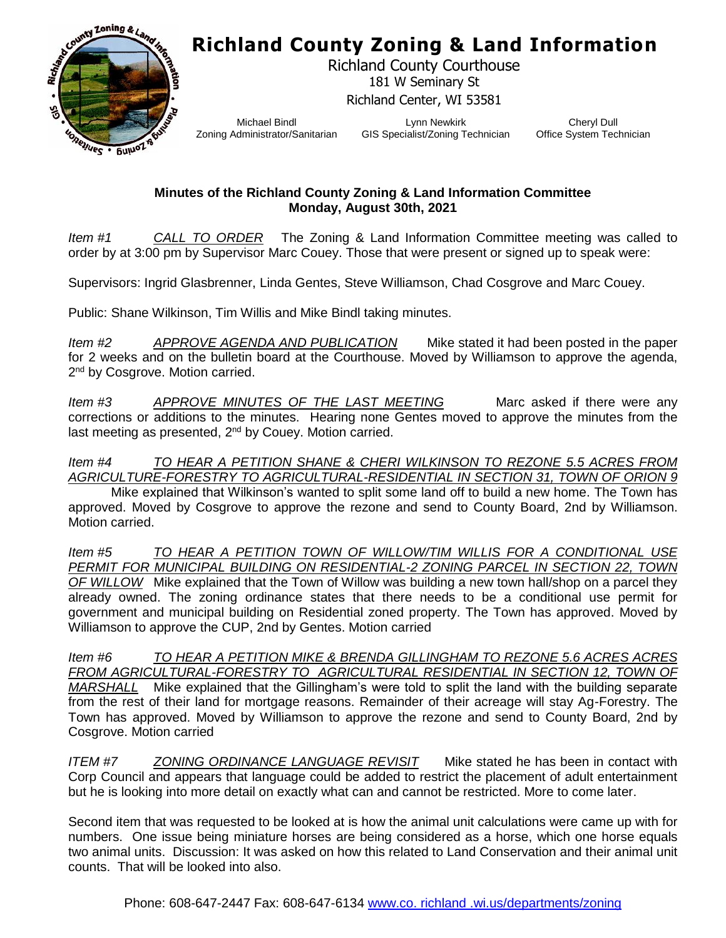## **Richland County Zoning & Land Information**



Richland County Courthouse 181 W Seminary St Richland Center, WI 53581

Michael Bindl Zoning Administrator/Sanitarian

Lynn Newkirk GIS Specialist/Zoning Technician

Cheryl Dull Office System Technician

## **Minutes of the Richland County Zoning & Land Information Committee Monday, August 30th, 2021**

*Item #1 CALL TO ORDER* The Zoning & Land Information Committee meeting was called to order by at 3:00 pm by Supervisor Marc Couey. Those that were present or signed up to speak were:

Supervisors: Ingrid Glasbrenner, Linda Gentes, Steve Williamson, Chad Cosgrove and Marc Couey.

Public: Shane Wilkinson, Tim Willis and Mike Bindl taking minutes.

*Item #2 APPROVE AGENDA AND PUBLICATION* Mike stated it had been posted in the paper for 2 weeks and on the bulletin board at the Courthouse. Moved by Williamson to approve the agenda, 2<sup>nd</sup> by Cosgrove. Motion carried.

*Item #3* APPROVE MINUTES OF THE LAST MEETING Marc asked if there were any corrections or additions to the minutes. Hearing none Gentes moved to approve the minutes from the last meeting as presented, 2<sup>nd</sup> by Couey. Motion carried.

## *Item #4 TO HEAR A PETITION SHANE & CHERI WILKINSON TO REZONE 5.5 ACRES FROM AGRICULTURE-FORESTRY TO AGRICULTURAL-RESIDENTIAL IN SECTION 31, TOWN OF ORION 9*

Mike explained that Wilkinson's wanted to split some land off to build a new home. The Town has approved. Moved by Cosgrove to approve the rezone and send to County Board, 2nd by Williamson. Motion carried.

*Item #5 TO HEAR A PETITION TOWN OF WILLOW/TIM WILLIS FOR A CONDITIONAL USE PERMIT FOR MUNICIPAL BUILDING ON RESIDENTIAL-2 ZONING PARCEL IN SECTION 22, TOWN OF WILLOW* Mike explained that the Town of Willow was building a new town hall/shop on a parcel they already owned. The zoning ordinance states that there needs to be a conditional use permit for government and municipal building on Residential zoned property. The Town has approved. Moved by Williamson to approve the CUP, 2nd by Gentes. Motion carried

*Item #6 TO HEAR A PETITION MIKE & BRENDA GILLINGHAM TO REZONE 5.6 ACRES ACRES FROM AGRICULTURAL-FORESTRY TO AGRICULTURAL RESIDENTIAL IN SECTION 12, TOWN OF MARSHALL* Mike explained that the Gillingham's were told to split the land with the building separate from the rest of their land for mortgage reasons. Remainder of their acreage will stay Ag-Forestry. The Town has approved. Moved by Williamson to approve the rezone and send to County Board, 2nd by Cosgrove. Motion carried

*ITEM #7 ZONING ORDINANCE LANGUAGE REVISIT* Mike stated he has been in contact with Corp Council and appears that language could be added to restrict the placement of adult entertainment but he is looking into more detail on exactly what can and cannot be restricted. More to come later.

Second item that was requested to be looked at is how the animal unit calculations were came up with for numbers. One issue being miniature horses are being considered as a horse, which one horse equals two animal units. Discussion: It was asked on how this related to Land Conservation and their animal unit counts. That will be looked into also.